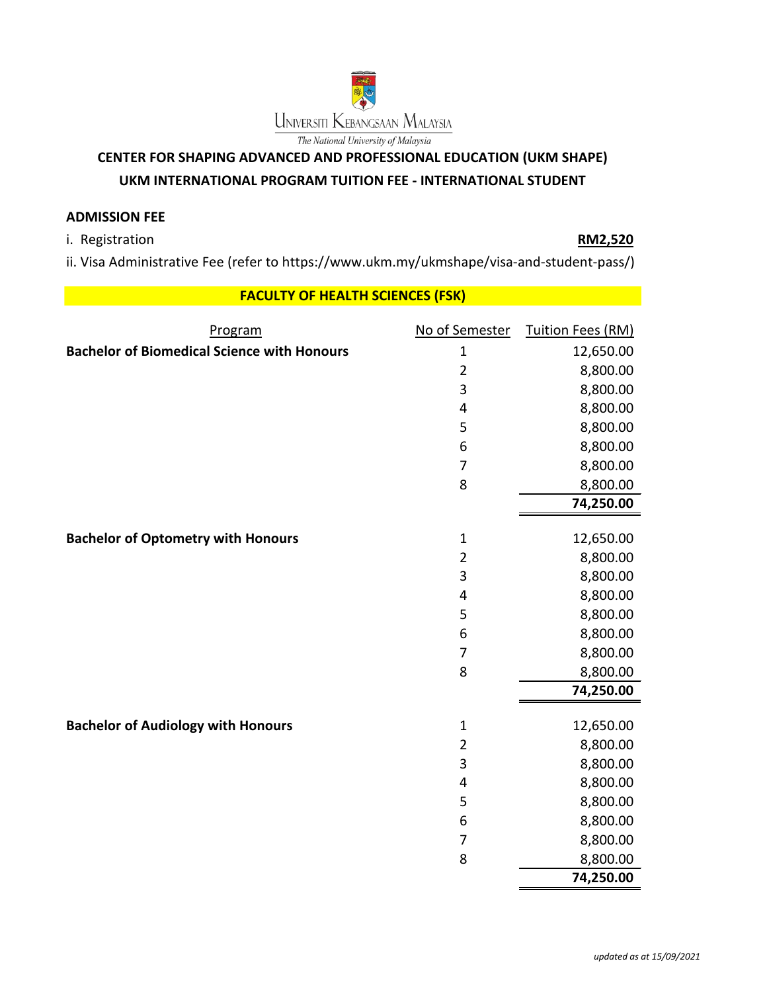

## **CENTER FOR SHAPING ADVANCED AND PROFESSIONAL EDUCATION (UKM SHAPE)**

## **UKM INTERNATIONAL PROGRAM TUITION FEE - INTERNATIONAL STUDENT**

## **ADMISSION FEE**

i. Registration **RM2,520**

ii. Visa Administrative Fee (refer to https://www.ukm.my/ukmshape/visa-and-student-pass/)

## **FACULTY OF HEALTH SCIENCES (FSK)**

| Program                                            | No of Semester | <b>Tuition Fees (RM)</b> |
|----------------------------------------------------|----------------|--------------------------|
| <b>Bachelor of Biomedical Science with Honours</b> | $\mathbf{1}$   | 12,650.00                |
|                                                    | $\overline{2}$ | 8,800.00                 |
|                                                    | 3              | 8,800.00                 |
|                                                    | 4              | 8,800.00                 |
|                                                    | 5              | 8,800.00                 |
|                                                    | 6              | 8,800.00                 |
|                                                    | $\overline{7}$ | 8,800.00                 |
|                                                    | 8              | 8,800.00                 |
|                                                    |                | 74,250.00                |
| <b>Bachelor of Optometry with Honours</b>          | $\mathbf{1}$   | 12,650.00                |
|                                                    | $\overline{2}$ | 8,800.00                 |
|                                                    | 3              | 8,800.00                 |
|                                                    | 4              | 8,800.00                 |
|                                                    | 5              | 8,800.00                 |
|                                                    | 6              | 8,800.00                 |
|                                                    | 7              | 8,800.00                 |
|                                                    | 8              | 8,800.00                 |
|                                                    |                | 74,250.00                |
|                                                    |                |                          |
| <b>Bachelor of Audiology with Honours</b>          | $\mathbf 1$    | 12,650.00                |
|                                                    | $\overline{2}$ | 8,800.00                 |
|                                                    | 3              | 8,800.00                 |
|                                                    | 4              | 8,800.00                 |
|                                                    | 5              | 8,800.00                 |
|                                                    | 6              | 8,800.00                 |
|                                                    | $\overline{7}$ | 8,800.00                 |
|                                                    | 8              | 8,800.00                 |
|                                                    |                | 74,250.00                |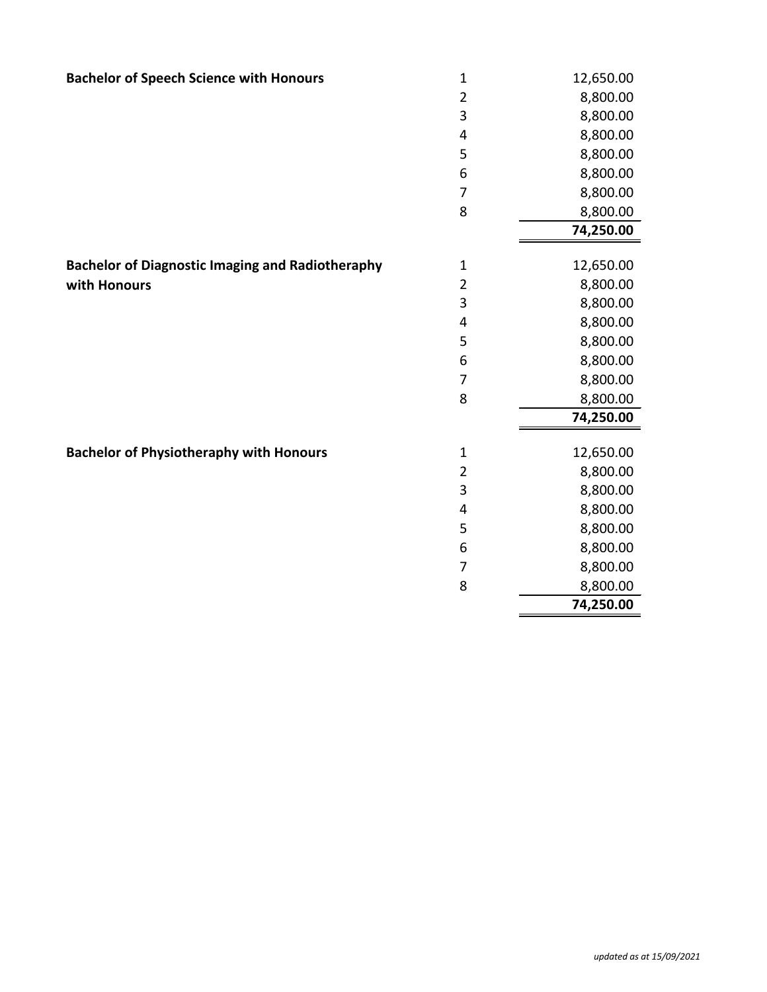| <b>Bachelor of Speech Science with Honours</b>          | $\mathbf 1$    | 12,650.00 |
|---------------------------------------------------------|----------------|-----------|
|                                                         | $\overline{2}$ | 8,800.00  |
|                                                         | 3              | 8,800.00  |
|                                                         |                |           |
|                                                         | 4              | 8,800.00  |
|                                                         | 5              | 8,800.00  |
|                                                         | 6              | 8,800.00  |
|                                                         | $\overline{7}$ | 8,800.00  |
|                                                         | 8              | 8,800.00  |
|                                                         |                | 74,250.00 |
| <b>Bachelor of Diagnostic Imaging and Radiotheraphy</b> | $\mathbf 1$    | 12,650.00 |
| with Honours                                            | $\overline{2}$ | 8,800.00  |
|                                                         | 3              | 8,800.00  |
|                                                         | 4              | 8,800.00  |
|                                                         | 5              | 8,800.00  |
|                                                         | 6              | 8,800.00  |
|                                                         | 7              | 8,800.00  |
|                                                         | 8              | 8,800.00  |
|                                                         |                | 74,250.00 |
|                                                         |                |           |
| <b>Bachelor of Physiotheraphy with Honours</b>          | $\mathbf 1$    | 12,650.00 |
|                                                         | $\overline{2}$ | 8,800.00  |
|                                                         | 3              | 8,800.00  |
|                                                         | 4              | 8,800.00  |
|                                                         | 5              | 8,800.00  |
|                                                         | 6              | 8,800.00  |
|                                                         | $\overline{7}$ | 8,800.00  |
|                                                         | 8              | 8,800.00  |
|                                                         |                | 74,250.00 |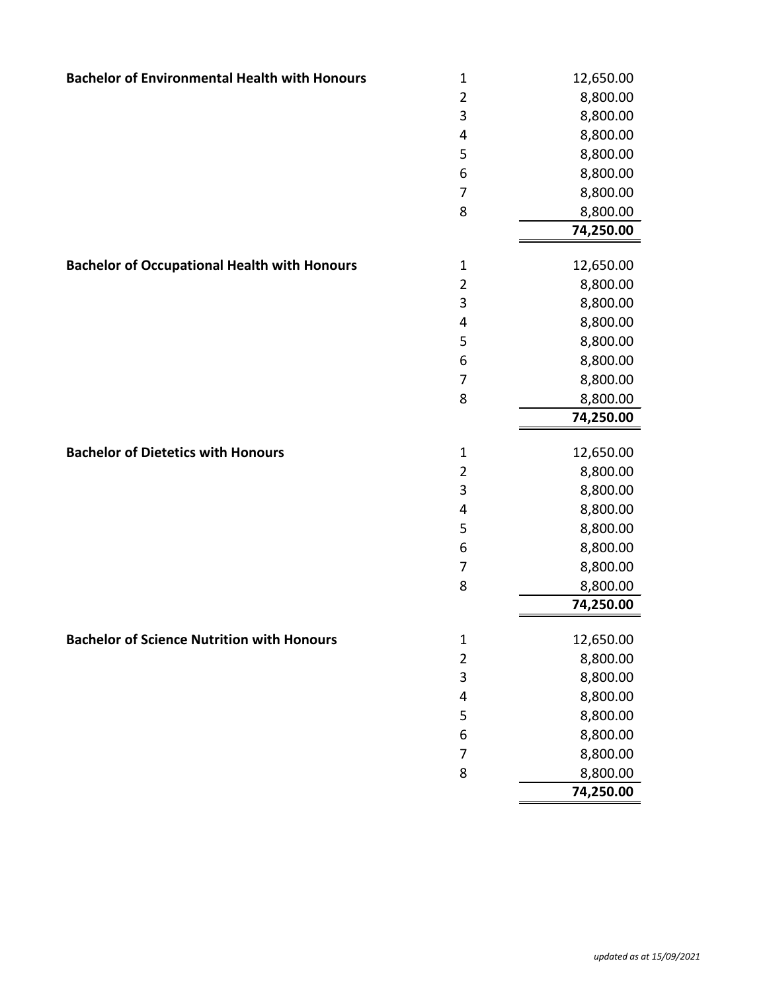| <b>Bachelor of Environmental Health with Honours</b> | $\mathbf 1$    | 12,650.00 |
|------------------------------------------------------|----------------|-----------|
|                                                      | $\overline{2}$ | 8,800.00  |
|                                                      | $\mathsf 3$    | 8,800.00  |
|                                                      | 4              | 8,800.00  |
|                                                      | 5              | 8,800.00  |
|                                                      | 6              | 8,800.00  |
|                                                      | $\overline{7}$ | 8,800.00  |
|                                                      | 8              | 8,800.00  |
|                                                      |                | 74,250.00 |
|                                                      |                |           |
| <b>Bachelor of Occupational Health with Honours</b>  | $\mathbf 1$    | 12,650.00 |
|                                                      | $\overline{2}$ | 8,800.00  |
|                                                      | 3              | 8,800.00  |
|                                                      | 4              | 8,800.00  |
|                                                      | 5              | 8,800.00  |
|                                                      | 6              | 8,800.00  |
|                                                      | $\overline{7}$ | 8,800.00  |
|                                                      | 8              | 8,800.00  |
|                                                      |                | 74,250.00 |
| <b>Bachelor of Dietetics with Honours</b>            | $\mathbf 1$    | 12,650.00 |
|                                                      | $\overline{2}$ | 8,800.00  |
|                                                      | 3              | 8,800.00  |
|                                                      | 4              | 8,800.00  |
|                                                      | 5              | 8,800.00  |
|                                                      | 6              | 8,800.00  |
|                                                      | 7              | 8,800.00  |
|                                                      | 8              | 8,800.00  |
|                                                      |                | 74,250.00 |
| <b>Bachelor of Science Nutrition with Honours</b>    | $\mathbf 1$    | 12,650.00 |
|                                                      | $\overline{2}$ | 8,800.00  |
|                                                      | 3              | 8,800.00  |
|                                                      | 4              | 8,800.00  |
|                                                      | 5              | 8,800.00  |
|                                                      | 6              | 8,800.00  |
|                                                      | $\overline{7}$ | 8,800.00  |
|                                                      | 8              | 8,800.00  |
|                                                      |                | 74,250.00 |